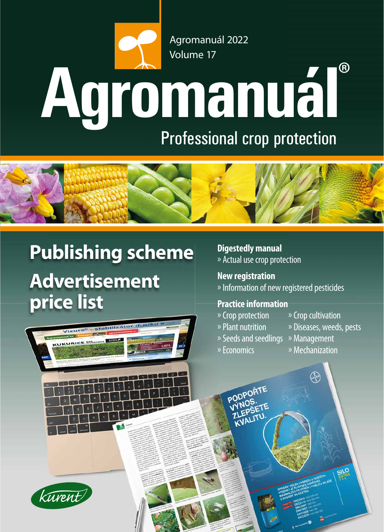# **Agromanuál**® Agromanuál 2022 Volume 17 Professional crop protection



# **Publishing scheme Advertisement price list**





**Digestedly manual** » Actual use crop protection

**New registration** » Information of new registered pesticides

# **Practice information**

- » Crop protection » Crop cultivation
	-
- » Plant nutrition » Diseases, weeds, pests
- » Seeds and seedlings » Management

PODPOŘTE

**LET LITI** 

» Economics » Mechanization

**CANCE** 

**SILO**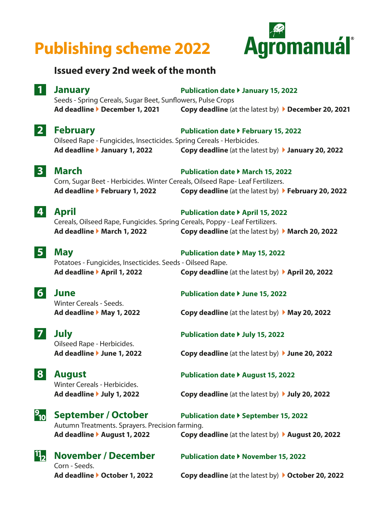# **Publishing scheme 2022**



## **Issued every 2nd week of the month**

**1 January Publication date January 15, 2022** Seeds - Spring Cereals, Sugar Beet, Sunflowers, Pulse Crops **Ad deadline December 1, 2021 Copy deadline** (at the latest by) **December 20, 2021**

# **2** February **Publication date > February 15, 2022**

 Oilseed Rape - Fungicides, Insecticides. Spring Cereals - Herbicides. **Ad deadline January 1, 2022 Copy deadline** (at the latest by) **January 20, 2022**

**3** March Publication date **PMarch 15, 2022** 

 Corn, Sugar Beet - Herbicides. Winter Cereals, Oilseed Rape- Leaf Fertilizers. **Ad deadline February 1, 2022 Copy deadline** (at the latest by) **February 20, 2022**

### **4 April Publication date April 15, 2022** Cereals, Oilseed Rape, Fungicides. Spring Cereals, Poppy - Leaf Fertilizers. **Ad deadline March 1, 2022 Copy deadline** (at the latest by) **March 20, 2022**

**5 May Publication date May 15, 2022** Potatoes - Fungicides, Insecticides. Seeds - Oilseed Rape. **Ad deadline April 1, 2022 Copy deadline** (at the latest by) **April 20, 2022**

**6 June** Publication date *b* June 15, 2022 Winter Cereals - Seeds.

Oilseed Rape - Herbicides.

**Ad deadline May 1, 2022 Copy deadline** (at the latest by)  **May 20, 2022**

**7 July Publication date July 15, 2022**

**Ad deadline June 1, 2022 Copy deadline** (at the latest by) **June 20, 2022**

Winter Cereals - Herbicides.

**8 August Publication date > August 15, 2022** 

**Ad deadline July 1, 2022 Copy deadline** (at the latest by) **July 20, 2022**

# **2<sub>0</sub> September / October** Publication date *P* September 15, 2022

 Autumn Treatments. Sprayers. Precision farming. **Ad deadline August 1, 2022 Copy deadline** (at the latest by) **August 20, 2022**



**Ad deadline October 1, 2022 Copy deadline** (at the latest by) **October 20, 2022**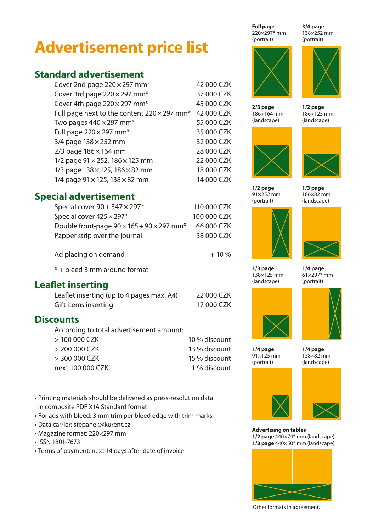# **Advertisement price list**

# **Standard advertisement**

| Cover 2nd page 220 × 297 mm*                                   | 42 000 CZK |
|----------------------------------------------------------------|------------|
| Cover 3rd page 220 × 297 mm*                                   | 37 000 CZK |
| Cover 4th page $220 \times 297$ mm <sup>*</sup>                | 45 000 CZK |
| Full page next to the content $220 \times 297$ mm <sup>*</sup> | 42 000 CZK |
| Two pages $440 \times 297$ mm <sup>*</sup>                     | 55 000 CZK |
| Full page $220 \times 297$ mm <sup>*</sup>                     | 35 000 CZK |
| 3/4 page $138 \times 252$ mm                                   | 32 000 CZK |
| $2/3$ page $186 \times 164$ mm                                 | 28 000 CZK |
| 1/2 page 91 × 252, 186 × 125 mm                                | 22 000 CZK |
| 1/3 page 138 × 125, 186 × 82 mm                                | 18 000 CZK |
| 1/4 page $91 \times 125$ , 138 $\times$ 82 mm                  | 14 000 CZK |

## **Special advertisement**

| Special cover $90 + 347 \times 297$ *                             | 110 000 CZK |
|-------------------------------------------------------------------|-------------|
| Special cover $425 \times 297$ *                                  | 100 000 CZK |
| Double front-page $90 \times 165 + 90 \times 297$ mm <sup>*</sup> | 66 000 CZK  |
| Papper strip over the journal                                     | 38 000 CZK  |
|                                                                   |             |

Ad placing on demand  $+10\%$ 

\* + bleed 3 mm around format

# **Leaflet inserting**

| Leaflet inserting (up to 4 pages max. A4) | 22 000 CZK |
|-------------------------------------------|------------|
| Gift items inserting                      | 17 000 CZK |

## **Discounts**

According to total advertisement amount:

| $>100000$ CZK    | 10 % discount |
|------------------|---------------|
| $>$ 200 000 CZK  | 13 % discount |
| $>$ 300 000 CZK  | 15 % discount |
| next 100 000 CZK | 1 % discount  |
|                  |               |

• Printing materials should be delivered as press-resolution data in composite PDF X1A Standard format

- For ads with bleed: 3 mm trim per bleed edge with trim marks
- Data carrier: stepanek@kurent.cz
- Magazine format: 220×297 mm
- ISSN 1801-7673
- Terms of payment: next 14 days after date of invoice

220×297\* mm (portrait) **Full page**

186×164 mm (landscape) **2/3 page**



91×252 mm (portrait) **1/2 page**



138×125 mm (landscape) **1/3 page**

61×297\* mm (portrait) **1/4 page**



91×125 mm (portrait) **1/4 page**

138×82 mm (landscape) **1/4 page**





**Advertising on tables 1/2 page** 440×74\* mm (landscape) **1/3 page** 440×50\* mm (landscape)



Other formats in agreement.

138×252 mm (portrait) **3/4 page**



186×125 mm (landscape) **1/2 page**



186×82 mm (landscape) **1/3 page**